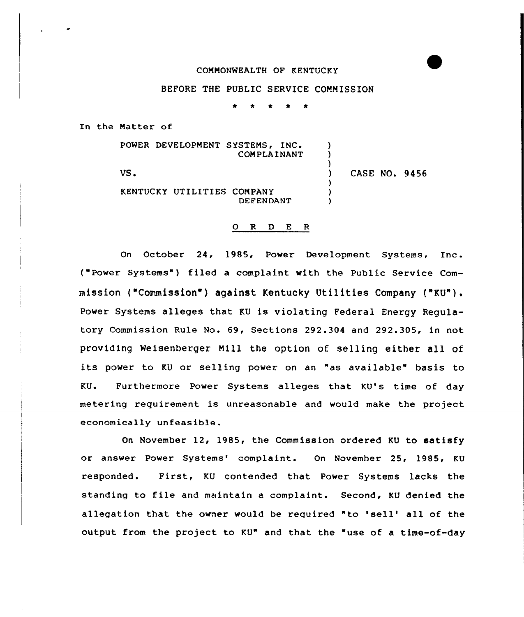## COMMONWEALTH OF KENTUCKY

## BEFORE THE PUBLIC SERVICE COMMISSION

\* \* t \* \*

In the Matter of

POWER DEVELOPMENT SYSTEMS, INC. COMPLAINANT US. KENTUCKY UTILITIES COMPANY DEFENDANT ) ) )<br>) ) CASE NO. 9456 ) ) )

## O R D E R

On October 24, 1985, Power Development Systems, Inc. ("Power Systems" ) filed <sup>a</sup> complaint with the Public Service Commission ("Commission" ) against Kentucky Utilities Company ("KU") . Power Systems alleges that KU is violating Federal Energy Regulatory Commission Rule No. 69, Sections 292.304 and 292.305, in not providing Weisenberger Mill the option of selling either all of its power to KU or selling power on an "as available" basis to KU. Furthermore Power Systems alleges that KU's time of day metering requirement is unreasonable and would make the project economically unfeasible.

On November 12, 1985, the Commission ordered KU to satisfy or answer Power Systems'omplaint. On November 25, 1985, KU responded. First, KU contended that Power Systems lacks the standing to file and maintain a complaint. Second, KU denied the allegation that the owner would be required "to 'sell' all of the output from the project to KU" and that the "use of a time-of-day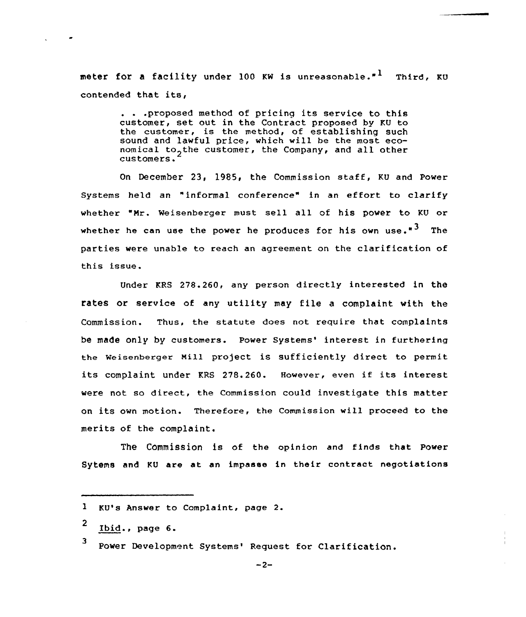meter for a facility under 100 KW is unreasonable."<sup>1</sup> Third, KU contended that its,

> ... proposed method of pricing its service to this customer, set out in the Contract proposed by KU to the customer, is the method, of establishing such sound and lawful price, which will be the most economical to<sub>2</sub>the customer, the Company, and all other customers.

On December 23, 1985, the Commission staff, KU and Power Systems held an "informal conference" in an effort to clarify whether "Mr. Weisenberger must sell all of his power to KU or whether he can use the power he produces for his own use. $"\bar{3}$  The parties were unable to reach an agreement on the clarification of this issue.

Under KRS 278.260, any persan directly interested in the rates or service of any utility may file <sup>a</sup> complaint with the Commission. Thus, the statute does not require that complaints be made only by customers. Power Systems' interest in furthering the weisenberger Mill project is sufficiently direct to permit its complaint under KRS 278.260. However, even if its interest were not so direct, the Commissian could investigate this matter on its own matian. Therefore, the Commission will proceed to the merits of the complaint.

The Commission is of the opinion and finds that Power Sytems and KU are at an impasse in their contract negotiations

KU's Answer to Complaint, page 2.

<sup>2</sup> Ibid., page 6.

<sup>3</sup> Power Development Systems' Request for Clarification.